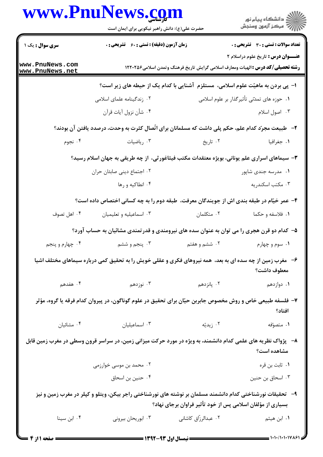| www.PnuNews.com                    | حضرت علی(ع): دانش راهبر نیکویی برای ایمان است                                                                |                      | ِ<br>∭ دانشڪاه پيام نور<br>∭ مرڪز آزمون وسنڊش                                                                                        |
|------------------------------------|--------------------------------------------------------------------------------------------------------------|----------------------|--------------------------------------------------------------------------------------------------------------------------------------|
| <b>سری سوال :</b> یک ۱             | زمان آزمون (دقیقه) : تستی : 60 ٪ تشریحی : 0                                                                  |                      | تعداد سوالات : تستى : 30 ٪ تشريحي : 0                                                                                                |
| www.PnuNews.com<br>www.PnuNews.net |                                                                                                              |                      | <b>عنـــوان درس :</b> تاريخ علوم دراسلام ٢<br><b>رشته تحصیلی/کد درس :</b> الهیات ومعارف اسلامی گرایش تاریخ فرهنگ وتمدن اسلامی۱۲۲۰۲۵۶ |
|                                    |                                                                                                              |                      | ا- پی بردن به ماهیّت علوم اسلامی، مستلزم آشنایی با کدام یک از حیطه های زیر است؟                                                      |
|                                    | ۰۲ زندگینامه علمای اسلامی                                                                                    |                      | ٠١. حوزه هاى تمدّنى تأثيرگذار بر علوم اسلامى                                                                                         |
|                                    | ۰۴ شأن نزول آيات قرآن                                                                                        |                      | ۰۳ اصول اسلام                                                                                                                        |
|                                    | ۲-۔ طبیعت مجرّد کدام علم، حکم پلی داشت که مسلمانان برای اتّصال کثرت به وحدت، درصدد یافتن آن بودند؟           |                      |                                                                                                                                      |
| ۰۴ نجوم                            | ۰۳ رياضيات                                                                                                   | ۰۲ تاریخ             | ٠١. جغرافيا                                                                                                                          |
|                                    | ۳- سیماهای اسراری علم یونانی، بویژه معتقدات مکتب فیثاغورثی،  از چه طریقی به جهان اسلام رسید؟                 |                      |                                                                                                                                      |
|                                    | ٢. اجتماع ديني صابئان حران                                                                                   |                      | ۰۱ مدرسه جندی شاپور                                                                                                                  |
|                                    | ۰۴ انطاکیه و رها                                                                                             |                      | ۰۳ مکتب اسکندریه                                                                                                                     |
|                                    | ۴– عمر خیّام در طبقه بندی اش از جویندگان معرفت، طبقه دوم را به چه کسانی اختصاص داده است؟                     |                      |                                                                                                                                      |
| ۰۴ اهل تصوف                        | ۰۳ اسماعیلیه و تعلیمیان                                                                                      | ۰۲ متکلمان           | ١. فلاسفه و حكما                                                                                                                     |
|                                    | ۵– کدام دو قرن هجری را می توان به عنوان سده های نیرومندی و قدرتمندی مشائیان به حساب آورد؟                    |                      |                                                                                                                                      |
| ۰۴ چهارم و پنجم                    | ۰۳ پنجم و ششم                                                                                                | ۲. ششم و هفتم        | ۰۱ سوم و چهارم                                                                                                                       |
|                                    | ۶- مغرب زمین از چه سده ای به بعد،  همه نیروهای فکری و عقلی خویش را به تحقیق کمی درباره سیماهای مختلف اشیا    |                      | معطوف داشت؟                                                                                                                          |
| ۴. هفدهم                           | ۰۳ نوزدهم $\cdot$                                                                                            | ۲. پانزدهم           | ۰۱ دوازدهم                                                                                                                           |
|                                    | ۷– فلسفه طبیعی خاص و روش مخصوص جابربن حیّان برای تحقیق در علوم گوناگون، در پیروان کدام فرقه یا گروه، مؤثر    |                      | افتاد؟                                                                                                                               |
| ۰۴ مشائيان                         | ۰۳ اسماعیلیان                                                                                                | ۰۲ زیدیّه            | ٠١. متصوّفه                                                                                                                          |
|                                    | ۸– پژواک نظریه های علمی کدام دانشمند، به ویژه در مورد حرکت میزانی زمین، در سراسر قرون وسطی در مغرب زمین قابل |                      | مشاهده است؟                                                                                                                          |
|                                    | ۰۲ محمد بن موسی خوارزمی                                                                                      |                      | ٠١ ثابت بن قره                                                                                                                       |
|                                    | ۰۴ حنین بن اسحاق                                                                                             |                      | ۰۳ اسحاق بن حنين                                                                                                                     |
|                                    | ۹–   تحقیقات نورشناختی کدام دانشمند مسلمان بر نوشته های نورشناختی راجر بیکن، ویتلو و کپلر در مغرب زمین و نیز |                      | بسیاری از مؤلفان اسلامی پس از خود تأثیر فراوان برجای نهاد؟                                                                           |
| ۰۴ ابن سينا                        | ۰۳ ابوریحان بیرونی                                                                                           | ۰۲ عبدالرزّاق کاشانی | ۰۱ ابن هیثم                                                                                                                          |
|                                    |                                                                                                              |                      |                                                                                                                                      |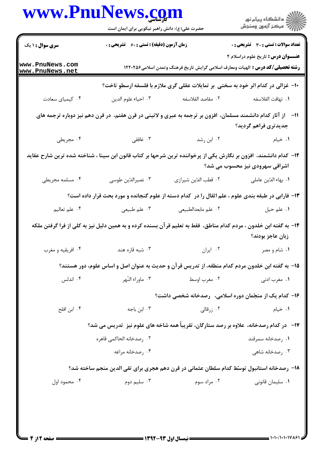|                                                                                                                                                    | www.PnuNews.com<br>حضرت علی(ع): دانش راهبر نیکویی برای ایمان است |                      | ر<br>دانشڪاه پيام نور)<br>ا                                                                                                             |  |
|----------------------------------------------------------------------------------------------------------------------------------------------------|------------------------------------------------------------------|----------------------|-----------------------------------------------------------------------------------------------------------------------------------------|--|
| <b>سری سوال : ۱ یک</b>                                                                                                                             | <b>زمان آزمون (دقیقه) : تستی : 60 ٪ تشریحی : 0</b>               |                      | <b>تعداد سوالات : تستی : 30 ٪ تشریحی : 0</b>                                                                                            |  |
| www.PnuNews.com<br>www.PnuNews.net                                                                                                                 |                                                                  |                      | <b>عنـــوان درس :</b> تاريخ علوم دراسلام ٢<br><b>رشته تحصیلی/کد درس :</b> الهیات ومعارف اسلامی گرایش تاریخ فرهنگ وتمدن اسلامی1۲۲۰۲۵۶    |  |
|                                                                                                                                                    |                                                                  |                      | ۱۰- غزالی در کدام اثر خود به سختی بر تمایلات عقلی گری ملازم با فلسفه ارسطو تاخت؟                                                        |  |
| ۰۴ کیمیای سعادت                                                                                                                                    | ٠٣ احياء علوم الدين                                              | ٠٢ مقاصد الفلاسفه    | ٠١. تهافت الفلاسفه                                                                                                                      |  |
|                                                                                                                                                    |                                                                  |                      | 11– از آثار کدام دانشمند مسلمان، افزون بر ترجمه به عبری و لاتینی در قرن هفتم، در قرن دهم نیز دوباره ترجمه های<br>جدیدتری فراهم گردید؟   |  |
| ۰۴ مجريطي                                                                                                                                          | ۰۳ غافقی                                                         | ۰۲ ابن رشد           | ۰۱ خیام                                                                                                                                 |  |
| ۱۲– کدام دانشمند، افزون بر نگارش یکی از پرخواننده ترین شرحها بر کتاب قانون ابن سینا ، شناخته شده ترین شارح عقاید<br>اشراقی سهرودی نیز محسوب می شد؟ |                                                                  |                      |                                                                                                                                         |  |
| ۰۴ مسلمه مجريطى                                                                                                                                    | ۰۳ نصيرالدّين طوسي                                               | ٠٢ قطب الدّين شيرازي | ٠١. بهاء الدّين عاملي                                                                                                                   |  |
|                                                                                                                                                    |                                                                  |                      | ۱۳- فارابی در طبقه بندی علوم ، علم اثقال را در کدام دسته از علوم گنجانده و مورد بحث قرار داده است؟                                      |  |
| ۰۴ علم تعاليم                                                                                                                                      | ۰۳ علم طبیعی                                                     | ٢. علم مابعدالطبيعي  | ١. علم حيل                                                                                                                              |  |
|                                                                                                                                                    |                                                                  |                      | ۱۴– به گفته ابن خلدون ، مردم کدام مناطق،  فقط به تعلیم قر آن بسنده کرده و به همین دلیل نیز به کلی از فرا گرفتن ملکه<br>زبان عاجز بودند؟ |  |
| ۰۴ افریقیه و مغرب                                                                                                                                  | ۰۳ شبه قاره هند                                                  | ۰۲ ایران             | ۰۱ شام و مصر                                                                                                                            |  |
|                                                                                                                                                    |                                                                  |                      | ۱۵– به گفته ابن خلدون مردم کدام منطقه، از تدریس قرآن و حدیث به عنوان اصل و اساس علوم، دور هستند؟                                        |  |
| ۰۴ اندلس                                                                                                                                           | ۰۳ ماوراء النّهر                                                 | ۰۲ مغرب اوسط         | ۰۱ مغرب ادنی                                                                                                                            |  |
|                                                                                                                                                    | ۱۶- کدام یک از منجّمان دوره اسلامی، رصدخانه شخصی داشت؟           |                      |                                                                                                                                         |  |
| ۰۴ ابن افلح                                                                                                                                        | ۰۳ ابن باجه                                                      | ۰۲ زرقالی            | ٠١ خيام                                                                                                                                 |  |
|                                                                                                                                                    |                                                                  |                      | <b>۱۷</b> - در کدام رصدخانه، علاوه بر رصد ستارگان، تقریباً همه شاخه های علوم نیز  تدریس می شد؟                                          |  |
|                                                                                                                                                    | ٢. رصدخانه الحاكمي قاهره                                         |                      | ۰۱ رصدخانه سمرقند                                                                                                                       |  |
|                                                                                                                                                    | ۰۴ مدخانه مراغه                                                  |                      | ۰۳ رصدخانه شاهی                                                                                                                         |  |
|                                                                                                                                                    |                                                                  |                      | ۱۸- رصدخانه استانبول توسّط کدام سلطان عثمانی در قرن دهم هجری برای تقی الدین منجم ساخته شد؟                                              |  |
| ۰۴ محمود اول                                                                                                                                       | ۰۳ سلیم دوم                                                      | ۰۲ مراد سوم          | ۰۱ سلیمان قانونی                                                                                                                        |  |
|                                                                                                                                                    |                                                                  |                      |                                                                                                                                         |  |
|                                                                                                                                                    |                                                                  |                      |                                                                                                                                         |  |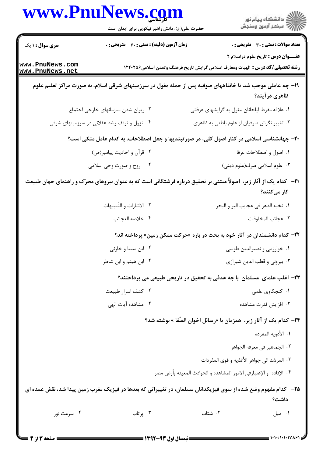| <b>سری سوال : ۱ یک</b><br>زمان آزمون (دقیقه) : تستی : 60 ٪ تشریحی : 0<br><b>تعداد سوالات : تستی : 30 ٪ تشریحی : 0</b><br><b>عنـــوان درس :</b> تاريخ علوم دراسلام ٢<br><b>رشته تحصیلی/کد درس :</b> الهیات ومعارف اسلامی گرایش تاریخ فرهنگ وتمدن اسلامی1۲۲۰۲۵۶<br>۱۹- چه عاملی موجب شد تا خانقاههای صوفیه پس از حمله مغول در سرزمینهای شرقی اسلام، به صورت مراکز تعلیم علوم<br>ظاهري درآيند؟<br>٢. ويران شدن سازمانهاى خارجى اجتماع<br>۰۱ علاقه مفرط ایلخانان مغول به گرایشهای عرفانی<br>۰۴ نزول و توقف رشد عقلانی در سرزمینهای شرقی<br>۰۳ تغییر نگرش صوفیان از علوم باطنی به ظاهری<br>+۲- جهانشناسی اسلامی در کنار اصول کلی، در صور تبندیها و جعل اصطلاحات، به کدام عامل متکی است؟<br>٢. قرأن و احاديث پيامبر(ص)<br>٠١. اصول و اصطلاحات عرفا<br>۰۳ علوم اسلامي صرف(علوم ديني)<br>۰۴ روح و صورت وحی اسلامی<br><b>۲۱</b> - کدام یک از آثار زیر، اصولاً مبتنی بر تحقیق درباره فرشتگانی است که به عنوان نیروهای محرّک و راهنمای جهان طبیعت<br>کار میکنند؟<br>٢. الاشارات و التّنبيهات<br>٠١. نخبه الدهر في عجايب البر و البحر<br>٠۴ خلاصه العجائب<br>٠٣ عجائب المخلوقات<br><b>۲۲</b> – کدام دانشمندان در آثار خود به بحث در باره «حرکت ممکن زمین» پرداخته اند؟<br>۰۲ ابن سینا و خازنی<br>۰۱ خوارزمی و نصیرالدین طوسی<br>۰۴ ابن هیثم و ابن شاطر<br>۰۳ بیرونی و قطب الدین شیرازی<br>۲۳– اغلب علمای مسلمان با چه هدفی به تحقیق در تاریخی طبیعی می پرداختند؟<br>۰۱ کنجکاوی علمی<br>۰۲ کشف اسرار طبیعت<br>۰۴ مشاهده آیات الهی<br>۰۳ افزایش قدرت مشاهده<br>٢۴− كدام يك از آثار زير،  همزمان با «رسائل اخوان الصّفا » نوشته شد؟<br>١. الأدويه المفرده<br>٢. الجماهير في معرفه الجواهر<br>۰۳ المرشد الى جواهر الأغذيه و قوى المفردات<br>۰۴ الإفاده و الإعتبارفي الامور المشاهده و الحوادث المعينه بأرض مصر<br>۲۵– کدام مفهوم وضع شده از سوی فیزیکدانان مسلمان، در تغییراتی که بعدها در فیزیک مغرب زمین پیدا شد، نقش عمده ای<br>داشت؟<br>۰۳ پرتاب<br>٠٢ شتاب<br>۰۴ سرعت نور<br>٠١ ميل |                                    | www.PnuNews.com<br>حضرت علی(ع): دانش راهبر نیکویی برای ایمان است | ر<br>دانشڪاه پيام نور)<br>ا∛ مرڪز آزمون وسنڊش |  |  |
|--------------------------------------------------------------------------------------------------------------------------------------------------------------------------------------------------------------------------------------------------------------------------------------------------------------------------------------------------------------------------------------------------------------------------------------------------------------------------------------------------------------------------------------------------------------------------------------------------------------------------------------------------------------------------------------------------------------------------------------------------------------------------------------------------------------------------------------------------------------------------------------------------------------------------------------------------------------------------------------------------------------------------------------------------------------------------------------------------------------------------------------------------------------------------------------------------------------------------------------------------------------------------------------------------------------------------------------------------------------------------------------------------------------------------------------------------------------------------------------------------------------------------------------------------------------------------------------------------------------------------------------------------------------------------------------------------------------------------------------------------------------------------------------------------------------------------------------------------------------------------|------------------------------------|------------------------------------------------------------------|-----------------------------------------------|--|--|
|                                                                                                                                                                                                                                                                                                                                                                                                                                                                                                                                                                                                                                                                                                                                                                                                                                                                                                                                                                                                                                                                                                                                                                                                                                                                                                                                                                                                                                                                                                                                                                                                                                                                                                                                                                                                                                                                          |                                    |                                                                  |                                               |  |  |
|                                                                                                                                                                                                                                                                                                                                                                                                                                                                                                                                                                                                                                                                                                                                                                                                                                                                                                                                                                                                                                                                                                                                                                                                                                                                                                                                                                                                                                                                                                                                                                                                                                                                                                                                                                                                                                                                          | www.PnuNews.com<br>www.PnuNews.net |                                                                  |                                               |  |  |
|                                                                                                                                                                                                                                                                                                                                                                                                                                                                                                                                                                                                                                                                                                                                                                                                                                                                                                                                                                                                                                                                                                                                                                                                                                                                                                                                                                                                                                                                                                                                                                                                                                                                                                                                                                                                                                                                          |                                    |                                                                  |                                               |  |  |
|                                                                                                                                                                                                                                                                                                                                                                                                                                                                                                                                                                                                                                                                                                                                                                                                                                                                                                                                                                                                                                                                                                                                                                                                                                                                                                                                                                                                                                                                                                                                                                                                                                                                                                                                                                                                                                                                          |                                    |                                                                  |                                               |  |  |
|                                                                                                                                                                                                                                                                                                                                                                                                                                                                                                                                                                                                                                                                                                                                                                                                                                                                                                                                                                                                                                                                                                                                                                                                                                                                                                                                                                                                                                                                                                                                                                                                                                                                                                                                                                                                                                                                          |                                    |                                                                  |                                               |  |  |
|                                                                                                                                                                                                                                                                                                                                                                                                                                                                                                                                                                                                                                                                                                                                                                                                                                                                                                                                                                                                                                                                                                                                                                                                                                                                                                                                                                                                                                                                                                                                                                                                                                                                                                                                                                                                                                                                          |                                    |                                                                  |                                               |  |  |
|                                                                                                                                                                                                                                                                                                                                                                                                                                                                                                                                                                                                                                                                                                                                                                                                                                                                                                                                                                                                                                                                                                                                                                                                                                                                                                                                                                                                                                                                                                                                                                                                                                                                                                                                                                                                                                                                          |                                    |                                                                  |                                               |  |  |
|                                                                                                                                                                                                                                                                                                                                                                                                                                                                                                                                                                                                                                                                                                                                                                                                                                                                                                                                                                                                                                                                                                                                                                                                                                                                                                                                                                                                                                                                                                                                                                                                                                                                                                                                                                                                                                                                          |                                    |                                                                  |                                               |  |  |
|                                                                                                                                                                                                                                                                                                                                                                                                                                                                                                                                                                                                                                                                                                                                                                                                                                                                                                                                                                                                                                                                                                                                                                                                                                                                                                                                                                                                                                                                                                                                                                                                                                                                                                                                                                                                                                                                          |                                    |                                                                  |                                               |  |  |
|                                                                                                                                                                                                                                                                                                                                                                                                                                                                                                                                                                                                                                                                                                                                                                                                                                                                                                                                                                                                                                                                                                                                                                                                                                                                                                                                                                                                                                                                                                                                                                                                                                                                                                                                                                                                                                                                          |                                    |                                                                  |                                               |  |  |
|                                                                                                                                                                                                                                                                                                                                                                                                                                                                                                                                                                                                                                                                                                                                                                                                                                                                                                                                                                                                                                                                                                                                                                                                                                                                                                                                                                                                                                                                                                                                                                                                                                                                                                                                                                                                                                                                          |                                    |                                                                  |                                               |  |  |
|                                                                                                                                                                                                                                                                                                                                                                                                                                                                                                                                                                                                                                                                                                                                                                                                                                                                                                                                                                                                                                                                                                                                                                                                                                                                                                                                                                                                                                                                                                                                                                                                                                                                                                                                                                                                                                                                          |                                    |                                                                  |                                               |  |  |
|                                                                                                                                                                                                                                                                                                                                                                                                                                                                                                                                                                                                                                                                                                                                                                                                                                                                                                                                                                                                                                                                                                                                                                                                                                                                                                                                                                                                                                                                                                                                                                                                                                                                                                                                                                                                                                                                          |                                    |                                                                  |                                               |  |  |
|                                                                                                                                                                                                                                                                                                                                                                                                                                                                                                                                                                                                                                                                                                                                                                                                                                                                                                                                                                                                                                                                                                                                                                                                                                                                                                                                                                                                                                                                                                                                                                                                                                                                                                                                                                                                                                                                          |                                    |                                                                  |                                               |  |  |
|                                                                                                                                                                                                                                                                                                                                                                                                                                                                                                                                                                                                                                                                                                                                                                                                                                                                                                                                                                                                                                                                                                                                                                                                                                                                                                                                                                                                                                                                                                                                                                                                                                                                                                                                                                                                                                                                          |                                    |                                                                  |                                               |  |  |
|                                                                                                                                                                                                                                                                                                                                                                                                                                                                                                                                                                                                                                                                                                                                                                                                                                                                                                                                                                                                                                                                                                                                                                                                                                                                                                                                                                                                                                                                                                                                                                                                                                                                                                                                                                                                                                                                          |                                    |                                                                  |                                               |  |  |
|                                                                                                                                                                                                                                                                                                                                                                                                                                                                                                                                                                                                                                                                                                                                                                                                                                                                                                                                                                                                                                                                                                                                                                                                                                                                                                                                                                                                                                                                                                                                                                                                                                                                                                                                                                                                                                                                          |                                    |                                                                  |                                               |  |  |
|                                                                                                                                                                                                                                                                                                                                                                                                                                                                                                                                                                                                                                                                                                                                                                                                                                                                                                                                                                                                                                                                                                                                                                                                                                                                                                                                                                                                                                                                                                                                                                                                                                                                                                                                                                                                                                                                          |                                    |                                                                  |                                               |  |  |
|                                                                                                                                                                                                                                                                                                                                                                                                                                                                                                                                                                                                                                                                                                                                                                                                                                                                                                                                                                                                                                                                                                                                                                                                                                                                                                                                                                                                                                                                                                                                                                                                                                                                                                                                                                                                                                                                          |                                    |                                                                  |                                               |  |  |
|                                                                                                                                                                                                                                                                                                                                                                                                                                                                                                                                                                                                                                                                                                                                                                                                                                                                                                                                                                                                                                                                                                                                                                                                                                                                                                                                                                                                                                                                                                                                                                                                                                                                                                                                                                                                                                                                          |                                    |                                                                  |                                               |  |  |
|                                                                                                                                                                                                                                                                                                                                                                                                                                                                                                                                                                                                                                                                                                                                                                                                                                                                                                                                                                                                                                                                                                                                                                                                                                                                                                                                                                                                                                                                                                                                                                                                                                                                                                                                                                                                                                                                          |                                    |                                                                  |                                               |  |  |
|                                                                                                                                                                                                                                                                                                                                                                                                                                                                                                                                                                                                                                                                                                                                                                                                                                                                                                                                                                                                                                                                                                                                                                                                                                                                                                                                                                                                                                                                                                                                                                                                                                                                                                                                                                                                                                                                          |                                    |                                                                  |                                               |  |  |
|                                                                                                                                                                                                                                                                                                                                                                                                                                                                                                                                                                                                                                                                                                                                                                                                                                                                                                                                                                                                                                                                                                                                                                                                                                                                                                                                                                                                                                                                                                                                                                                                                                                                                                                                                                                                                                                                          |                                    |                                                                  |                                               |  |  |
|                                                                                                                                                                                                                                                                                                                                                                                                                                                                                                                                                                                                                                                                                                                                                                                                                                                                                                                                                                                                                                                                                                                                                                                                                                                                                                                                                                                                                                                                                                                                                                                                                                                                                                                                                                                                                                                                          |                                    |                                                                  |                                               |  |  |
|                                                                                                                                                                                                                                                                                                                                                                                                                                                                                                                                                                                                                                                                                                                                                                                                                                                                                                                                                                                                                                                                                                                                                                                                                                                                                                                                                                                                                                                                                                                                                                                                                                                                                                                                                                                                                                                                          |                                    |                                                                  |                                               |  |  |